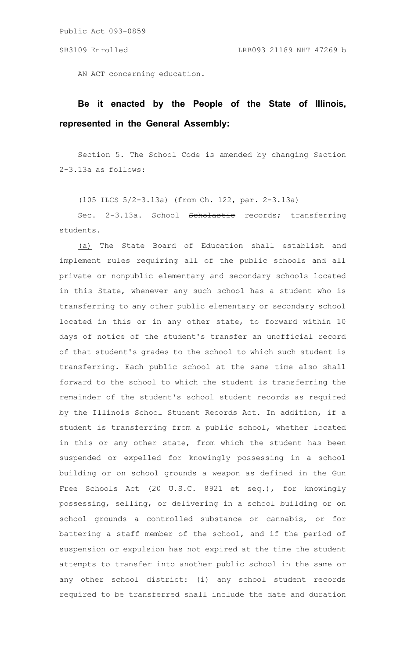Public Act 093-0859

AN ACT concerning education.

## **Be it enacted by the People of the State of Illinois, represented in the General Assembly:**

Section 5. The School Code is amended by changing Section 2-3.13a as follows:

(105 ILCS 5/2-3.13a) (from Ch. 122, par. 2-3.13a)

Sec. 2-3.13a. School <del>Scholastic</del> records; transferring students.

(a) The State Board of Education shall establish and implement rules requiring all of the public schools and all private or nonpublic elementary and secondary schools located in this State, whenever any such school has a student who is transferring to any other public elementary or secondary school located in this or in any other state, to forward within 10 days of notice of the student's transfer an unofficial record of that student's grades to the school to which such student is transferring. Each public school at the same time also shall forward to the school to which the student is transferring the remainder of the student's school student records as required by the Illinois School Student Records Act. In addition, if a student is transferring from a public school, whether located in this or any other state, from which the student has been suspended or expelled for knowingly possessing in a school building or on school grounds a weapon as defined in the Gun Free Schools Act (20 U.S.C. 8921 et seq.), for knowingly possessing, selling, or delivering in a school building or on school grounds a controlled substance or cannabis, or for battering a staff member of the school, and if the period of suspension or expulsion has not expired at the time the student attempts to transfer into another public school in the same or any other school district: (i) any school student records required to be transferred shall include the date and duration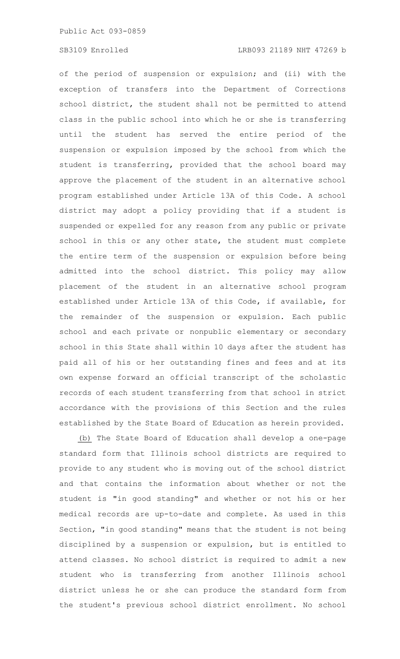Public Act 093-0859

of the period of suspension or expulsion; and (ii) with the exception of transfers into the Department of Corrections school district, the student shall not be permitted to attend class in the public school into which he or she is transferring until the student has served the entire period of the suspension or expulsion imposed by the school from which the student is transferring, provided that the school board may approve the placement of the student in an alternative school program established under Article 13A of this Code. A school district may adopt a policy providing that if a student is suspended or expelled for any reason from any public or private school in this or any other state, the student must complete the entire term of the suspension or expulsion before being admitted into the school district. This policy may allow placement of the student in an alternative school program established under Article 13A of this Code, if available, for the remainder of the suspension or expulsion. Each public school and each private or nonpublic elementary or secondary school in this State shall within 10 days after the student has paid all of his or her outstanding fines and fees and at its own expense forward an official transcript of the scholastic records of each student transferring from that school in strict accordance with the provisions of this Section and the rules established by the State Board of Education as herein provided.

(b) The State Board of Education shall develop a one-page standard form that Illinois school districts are required to provide to any student who is moving out of the school district and that contains the information about whether or not the student is "in good standing" and whether or not his or her medical records are up-to-date and complete. As used in this Section, "in good standing" means that the student is not being disciplined by a suspension or expulsion, but is entitled to attend classes. No school district is required to admit a new student who is transferring from another Illinois school district unless he or she can produce the standard form from the student's previous school district enrollment. No school